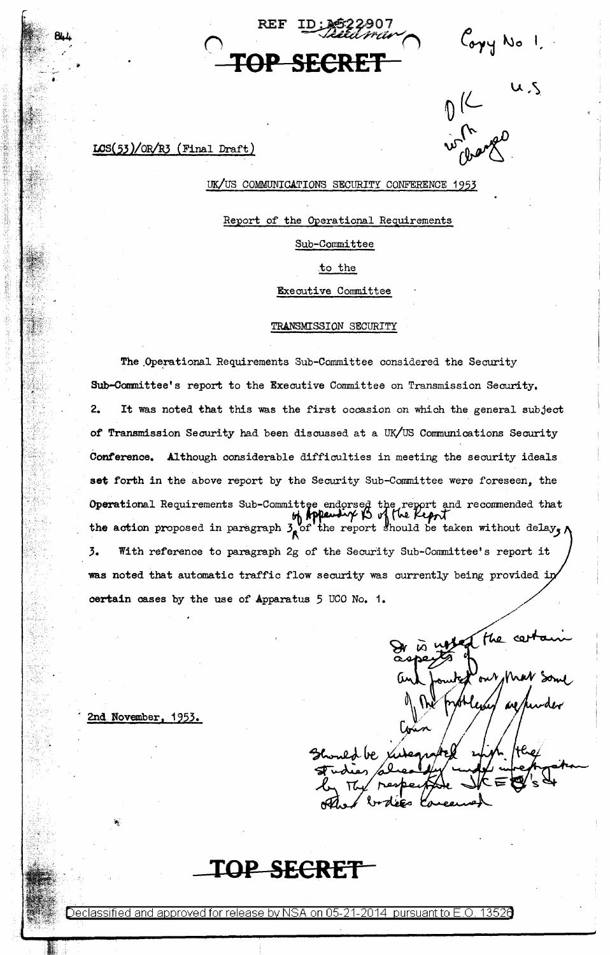REF ID:3622907<br>*REF : Litturiu* **TOP SECRET** 

Copy No 1.

Without u.s.

# $LCS(53)/OR/R3$  (Final Draft)

# UK/US COMMUNICATIONS SECURITY CONFERENCE 1953

Report of the Operational Requirements

Sub-Committee

to the

Executive Committee

# TRANSMISSION SECURITY

The Operational Requirements Sub-Committee considered the Security Sub-Conmittee's report to the Executive Committee on Transmission Security. 2. It was noted that this was the first occasion on which the general subject of Transmission Security had been discussed at a UK/US Communications Security Conference. Although considerable difficulties *in* meeting the security ideals set forth in the above report by the Security Sub-Committee were foreseen, the Operational Requirements Sub-Committee endorsed the report and recommended that the action proposed in paragraph  $\frac{1}{2}$  of the report should be taken without delay, 3. With reference to paragraph 2g of the Security Sub-Committee's report it was noted that automatic traffic flow security was currently being provided in certain cases by the use of Apparatus 5 UCO No. 1.

of the cent ed be

2nd November, 1953.

**TOP SECRET** 

6eclassified and approved for release by NSA on 05-21-2014 pursuantto E.O. 1352a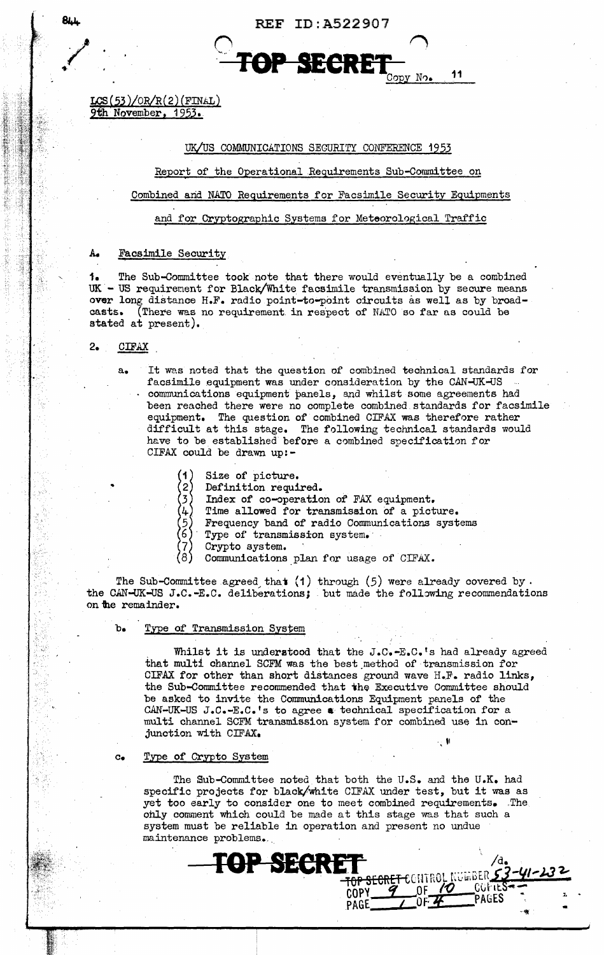REF ID:A522907 / . *n* <sup>~</sup>

.. ~ .. **TOP SEeRET**   $N<sub>O</sub>$ 

11

 $LCS(53)/OR/R(2)$ (FINAL) 9th November, 1953.

### UK/US COMMUNICATIONS SECURITY CONFERENCE 1953

#### Report of the Operational Requirements Sub-Committee on

### Combined arid NATO Requirements for Facsimile Security Equipments

#### and for Cryptographic Systems for Meteorological Traffic

#### A. Facsimile Security

, 1. The Sub-Committee took note that there would eventually be a combined  $UK - US requirement for Black/White facsimile transmission by secure means$ over long distance H.F. radio point-to-point circuits as well as by broad-casts. (There was no requirement in respect of NATO so far as could be (There was no requirement in respect of NATO so far as could be stated at present).

2. CIFAX

•

 $\sim$   $\sim$ 

a. It was noted that the question of combined technical standards for facsimile equipment was under consideration by the CAN-UX-US communications equipment panels, and whilst some agreements had been reached there were no complete combined.standards for facsimile equipment. The question of combined CIFAX was therefore rather difficult at this stage. The following technical standards would have to be established before a combined specification for CIFAX could be drawn up:-

- $\binom{1}{2}$ Size of picture.
- Definition required.
- 3 Index of co-operation of FAX equipment.
- 4. Time allowed for transmission of a picture.
- 5 Frequency band of radio Communications systems
- 6 Type of transmission system.
- 7 Crypto system.
- 8 Communications plan for usage of CIFAX.

The Sub-Committee agreed that  $(1)$  through  $(5)$  were already covered by. the CAN-UK-US J.C.-E.C. deliberations; but made the following recommendations on the remainder.

#### b. Type of Transmission System

Whilst it is understood that the  $J.C.-E.C.$ 's had already agreed that multi channel SCFM was the best method of transmission for CIFAX for other than short distances ground wave H.F. radio links, the Sub-Committee recommended that the Executive Committee should be asked to invite the Communications Equipment panels of the CAN-UK-US J.C.-E.C. 's to agree a technical specification for a multi channel SCFM transmission system for combined use in conjunction with CIFAX.

#### c. Type of Crypto System

The Sub-Committee noted that both the U.S. and the U.K. had specific projects for black/white CIFAX under test, but it was as yet too early to consider one to meet combined requirements. The ohly conunent which could be made at this stage was that such a system must be reliable in operation and present no undue maintenance problems.

COPY *9* OF *10* COPY 2 .

··'!{

**TOP SECRET**<br>**RECRET**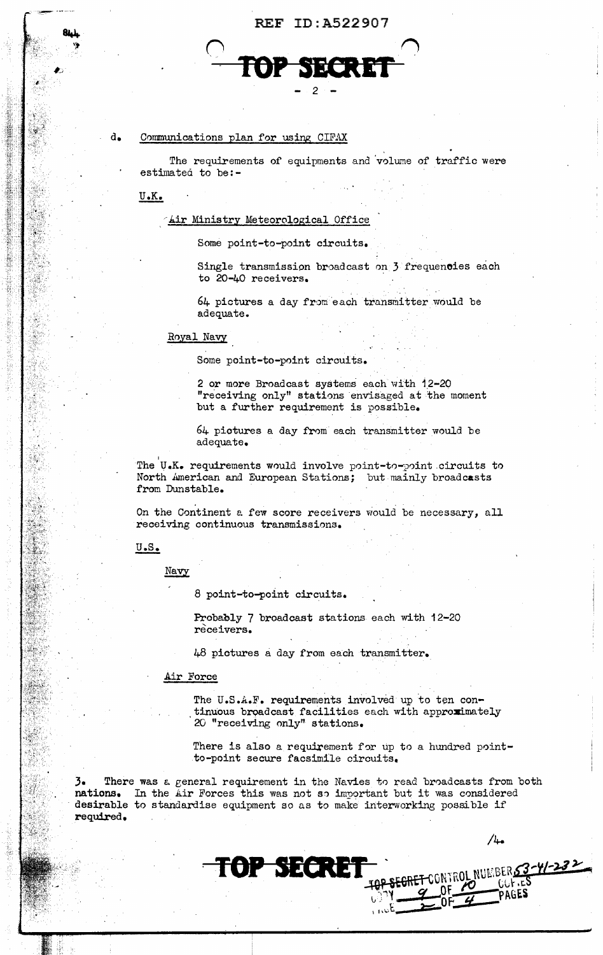



# d. Communications plan for using CIFAX

The requirements of equipments and volume of traffic were estimatea to be:-

U.K.

#### **Lir Ministry Meteorological Office**

Some point-to-point circuits.

Single transmission broadcast on 3 frequencies each to 20-40 receivers.

 $64$  pictures a day from each transmitter would be adequate.

#### Royal Navy

Some point-to-point circuits.

2 or more Broadcast systems each with 12-20 "receiving only" stations envisaged at the moment but a further requirement is possible.

64 pictures a day from each transmitter would be adequate.

The U.K. requirements would involve point-to-point circuits to North American and European Stations; but mainly broadcasts from Dunstable.

On the Continent a few score receivers would be necessary, all receiving continuous transmissions.

#### $U.S.$

Navy

8 point-to-point circuits.

Probably 7 broadcast stations each with 12-20 receivers.

48 pictures a day from each transmitter.

#### Air Force

The U.S.A.F. requirements involved up to ten con-<br>tinuous broadcast facilities each with approximately 20 "receiving only" stations.

There is also a requirement for up to a hundred pointto-point secure facsimile circuits.

3. There was a. general requirement in the Navies t0 read broadcasts from both nations. In the Air Forces this was not so important but it was considered desirable to standardise equipment so as to make interworking possible if required.

TOP SECRET

 $/4.$ 

PSECRET CONTROL NUMBERS3-41-232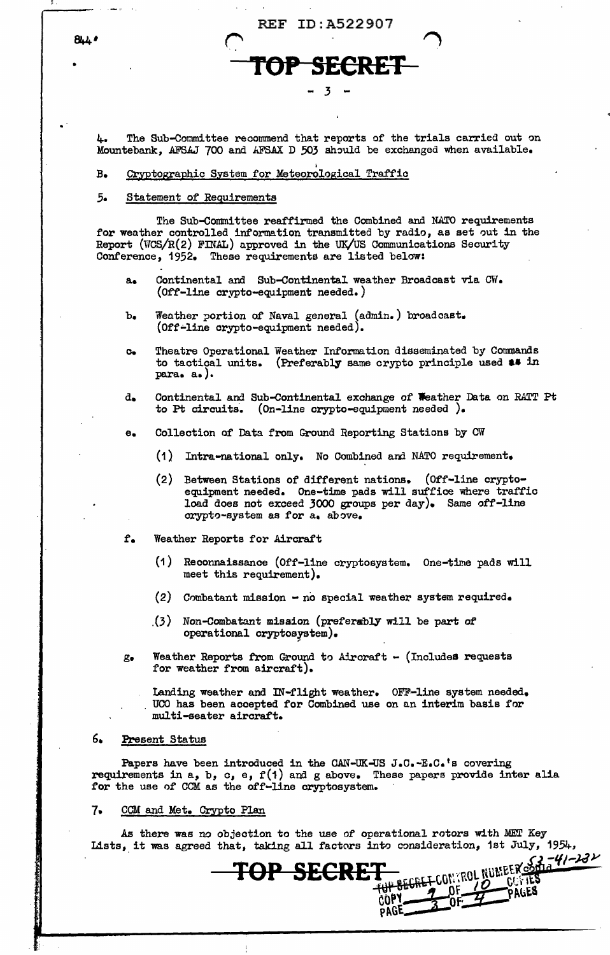•

~. The Sub-Committee recommend that reports of the trials carried out on Mountebank, AFSAJ 700 and AFSAX D 503 should be exchanged when available.

REF ID:A522907

- 3

**SECRET** 

# B. Cryptographic System for Meteorological Traffic

#### *5.* Statement of Requirements

The Sub-Committee reaffirmed the Combined and NATO requirements for weather controlled information transmitted by radio, as set out in the Report (WCS/R(2) FINAL) approved in the UK/US Communications Security Conference, 1952. These requirements are listed below:

- a. Continental and Sub-Continental weather Broadcast via CW. (Off-line crypto-equipment needed.)
- b. Weather portion of Naval general (admin.) broadcast. (Off•line orypto-equipment needed).
- c. Theatre Operational Weather Information disseminated by Commands to tactical units. (Preferably same crypto principle used  $\bullet\bullet$  in para. a.).
- d. Continental and Sub-Continental exchange of Weather Data on RATT Pt to Pt circuits. (On-line crypto-equipment needed ).
- e. Collection of Data from Ground Reporting Stations by CW
	- (1) Intra-national only. No Combined and NATO requirement.
	- (2) Between Stations of different nations. (Off-line cryptoequipment needed. One-time pads will suffice where traffic load does not exceed 3000 groups per day). Same off-line crypto-system as for a. above.
- f. Weather Reports for Aircraft
	- (1) Reconnaissance (Off-line cryptosystem. One-time pads will meet this requirement).
	- (2) Combatant mission  $\rightarrow$  no special weather system required.
	- $(3)$  Non-Combatant mission (preferably will be part of operational cryptosrstem).
- g. Weather Reports from Ground to Aircraft  $-$  (Includes requests for weather from aircraft).

Landing weather and IN-flight weather. OFF-line system needed. UCO has been accepted for Combined use on an interim basis for multi-seater aircraft.

# 6. Present Status

 $\mathbf{r}$ 

Papers have been introduced in the CAN-UK-US J.C.-E.C.'s covering requirements in  $a$ ,  $b$ ,  $c$ ,  $e$ ,  $f(1)$  and  $g$  above. These papers provide inter alia for the use of CCM as the off-line cryptosystem.

**TOP SECRET** 

#### 7. CCM and Met. Crypto Plan

As there was no objection to the use 0£ operational rotors with MET Key Lists, it was agreed that, taking all factors into consideration, 1st July, 1954,

f°,!, *-'f/-JdY* 

 $\frac{1}{2}$   $\frac{1}{2}$   $\frac{1}{2}$   $\frac{1}{2}$   $\frac{1}{2}$   $\frac{1}{2}$   $\frac{1}{2}$   $\frac{1}{2}$   $\frac{1}{2}$   $\frac{1}{2}$   $\frac{1}{2}$   $\frac{1}{2}$   $\frac{1}{2}$   $\frac{1}{2}$   $\frac{1}{2}$   $\frac{1}{2}$   $\frac{1}{2}$   $\frac{1}{2}$   $\frac{1}{2}$   $\frac{1}{2}$   $\frac{1}{2}$   $\frac{1}{2}$ 

COPY <u>7</u> UF 7 PAGES